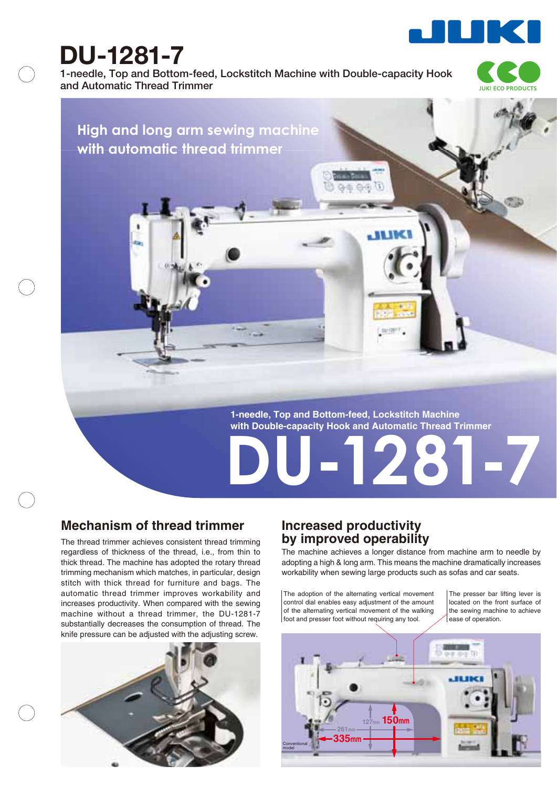

# **DU-1281-7**

**1-needle, Top and Bottom-feed, Lockstitch Machine with Double-capacity Hook and Automatic Thread Trimmer**



## **High and long arm sewing machine with automatic thread trimmer**

**1-needle, Top and Bottom-feed, Lockstitch Machine with Double-capacity Hook and Automatic Thread Trimmer**

**ALIA** 

### **Mechanism of thread trimmer**

The thread trimmer achieves consistent thread trimming regardless of thickness of the thread, i.e., from thin to thick thread. The machine has adopted the rotary thread trimming mechanism which matches, in particular, design stitch with thick thread for furniture and bags. The automatic thread trimmer improves workability and increases productivity. When compared with the sewing machine without a thread trimmer, the DU-1281-7 substantially decreases the consumption of thread. The knife pressure can be adjusted with the adjusting screw.



#### **Increased productivity by improved operability**

The machine achieves a longer distance from machine arm to needle by adopting a high & long arm. This means the machine dramatically increases workability when sewing large products such as sofas and car seats.

**DU-1281-7**

The adoption of the alternating vertical movement control dial enables easy adjustment of the amount of the alternating vertical movement of the walking foot and presser foot without requiring any tool.

The presser bar lifting lever is located on the front surface of the sewing machine to achieve ease of operation.